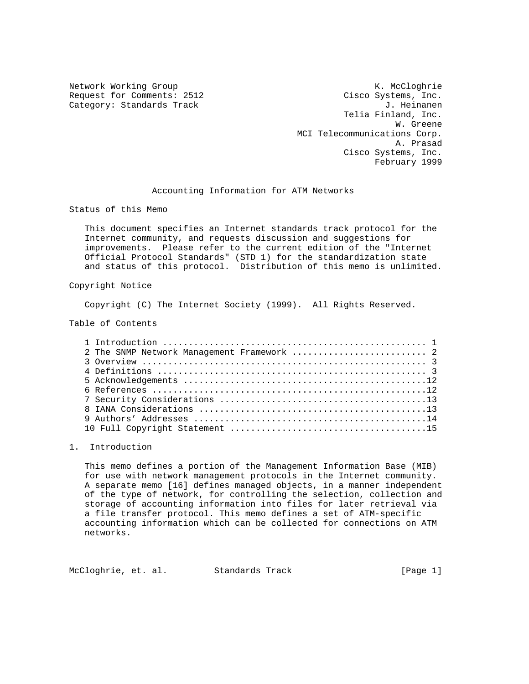Category: Standards Track

Network Working Group Network Working Group Network Working Group Request for Comments: 2512 Cisco Systems, Inc.<br>Category: Standards Track Gategory: Category: Category: Category: Category: Category: Category: Category: Category Telia Finland, Inc. W. Greene MCI Telecommunications Corp. A. Prasad Cisco Systems, Inc. February 1999

Accounting Information for ATM Networks

Status of this Memo

 This document specifies an Internet standards track protocol for the Internet community, and requests discussion and suggestions for improvements. Please refer to the current edition of the "Internet Official Protocol Standards" (STD 1) for the standardization state and status of this protocol. Distribution of this memo is unlimited.

## Copyright Notice

Copyright (C) The Internet Society (1999). All Rights Reserved.

Table of Contents

| 2 The SNMP Network Management Framework  2 |
|--------------------------------------------|
|                                            |
|                                            |
|                                            |
|                                            |
|                                            |
|                                            |
|                                            |
|                                            |

## 1. Introduction

 This memo defines a portion of the Management Information Base (MIB) for use with network management protocols in the Internet community. A separate memo [16] defines managed objects, in a manner independent of the type of network, for controlling the selection, collection and storage of accounting information into files for later retrieval via a file transfer protocol. This memo defines a set of ATM-specific accounting information which can be collected for connections on ATM networks.

McCloghrie, et. al. Standards Track [Page 1]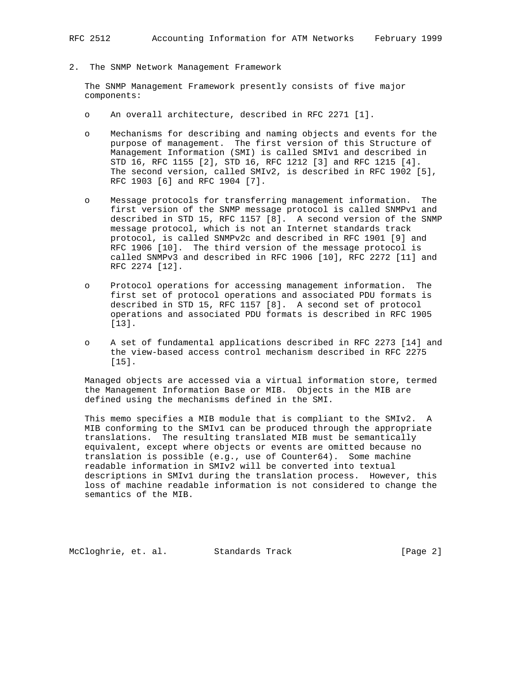2. The SNMP Network Management Framework

 The SNMP Management Framework presently consists of five major components:

- o An overall architecture, described in RFC 2271 [1].
- o Mechanisms for describing and naming objects and events for the purpose of management. The first version of this Structure of Management Information (SMI) is called SMIv1 and described in STD 16, RFC 1155 [2], STD 16, RFC 1212 [3] and RFC 1215 [4]. The second version, called SMIv2, is described in RFC 1902 [5], RFC 1903 [6] and RFC 1904 [7].
- o Message protocols for transferring management information. The first version of the SNMP message protocol is called SNMPv1 and described in STD 15, RFC 1157 [8]. A second version of the SNMP message protocol, which is not an Internet standards track protocol, is called SNMPv2c and described in RFC 1901 [9] and RFC 1906 [10]. The third version of the message protocol is called SNMPv3 and described in RFC 1906 [10], RFC 2272 [11] and RFC 2274 [12].
- o Protocol operations for accessing management information. The first set of protocol operations and associated PDU formats is described in STD 15, RFC 1157 [8]. A second set of protocol operations and associated PDU formats is described in RFC 1905 [13].
- o A set of fundamental applications described in RFC 2273 [14] and the view-based access control mechanism described in RFC 2275 [15].

 Managed objects are accessed via a virtual information store, termed the Management Information Base or MIB. Objects in the MIB are defined using the mechanisms defined in the SMI.

 This memo specifies a MIB module that is compliant to the SMIv2. A MIB conforming to the SMIv1 can be produced through the appropriate translations. The resulting translated MIB must be semantically equivalent, except where objects or events are omitted because no translation is possible (e.g., use of Counter64). Some machine readable information in SMIv2 will be converted into textual descriptions in SMIv1 during the translation process. However, this loss of machine readable information is not considered to change the semantics of the MIB.

McCloghrie, et. al. Standards Track [Page 2]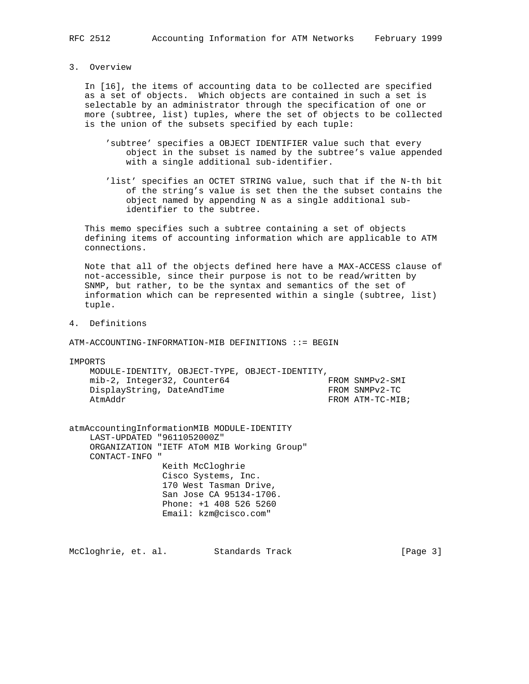3. Overview

 In [16], the items of accounting data to be collected are specified as a set of objects. Which objects are contained in such a set is selectable by an administrator through the specification of one or more (subtree, list) tuples, where the set of objects to be collected is the union of the subsets specified by each tuple:

- 'subtree' specifies a OBJECT IDENTIFIER value such that every object in the subset is named by the subtree's value appended with a single additional sub-identifier.
- 'list' specifies an OCTET STRING value, such that if the N-th bit of the string's value is set then the the subset contains the object named by appending N as a single additional sub identifier to the subtree.

 This memo specifies such a subtree containing a set of objects defining items of accounting information which are applicable to ATM connections.

 Note that all of the objects defined here have a MAX-ACCESS clause of not-accessible, since their purpose is not to be read/written by SNMP, but rather, to be the syntax and semantics of the set of information which can be represented within a single (subtree, list) tuple.

4. Definitions

ATM-ACCOUNTING-INFORMATION-MIB DEFINITIONS ::= BEGIN

IMPORTS

 MODULE-IDENTITY, OBJECT-TYPE, OBJECT-IDENTITY, mib-2, Integer32, Counter64 FROM SNMPv2-SMI DisplayString, DateAndTime FROM SNMPv2-TC AtmAddr **FROM** ATM-TC-MIB;

atmAccountingInformationMIB MODULE-IDENTITY LAST-UPDATED "9611052000Z" ORGANIZATION "IETF AToM MIB Working Group" CONTACT-INFO " Keith McCloghrie Cisco Systems, Inc. 170 West Tasman Drive, San Jose CA 95134-1706. Phone: +1 408 526 5260 Email: kzm@cisco.com"

McCloghrie, et. al. Standards Track [Page 3]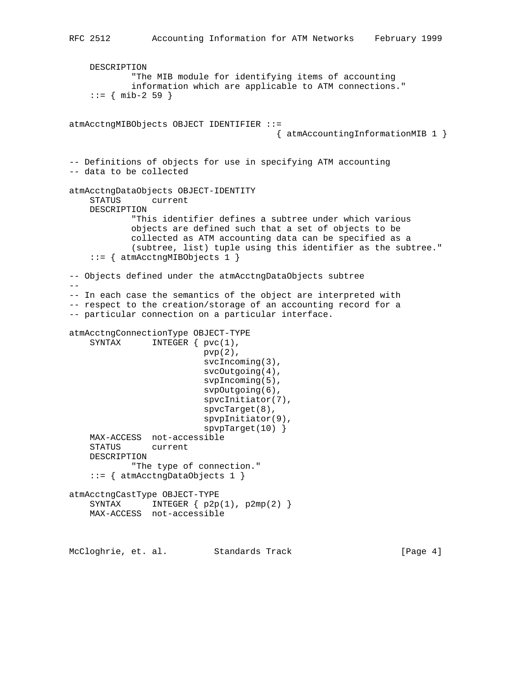```
 DESCRIPTION
             "The MIB module for identifying items of accounting
             information which are applicable to ATM connections."
    ::= { mib-2 59 }
atmAcctngMIBObjects OBJECT IDENTIFIER ::=
                                        { atmAccountingInformationMIB 1 }
-- Definitions of objects for use in specifying ATM accounting
-- data to be collected
atmAcctngDataObjects OBJECT-IDENTITY
     STATUS current
     DESCRIPTION
             "This identifier defines a subtree under which various
             objects are defined such that a set of objects to be
             collected as ATM accounting data can be specified as a
             (subtree, list) tuple using this identifier as the subtree."
     ::= { atmAcctngMIBObjects 1 }
-- Objects defined under the atmAcctngDataObjects subtree
--- In each case the semantics of the object are interpreted with
-- respect to the creation/storage of an accounting record for a
-- particular connection on a particular interface.
atmAcctngConnectionType OBJECT-TYPE
    SYNTAX INTEGER { pvc(1),
                          pvp(2),
                           svcIncoming(3),
                           svcOutgoing(4),
                           svpIncoming(5),
                           svpOutgoing(6),
                           spvcInitiator(7),
                           spvcTarget(8),
                           spvpInitiator(9),
                           spvpTarget(10) }
     MAX-ACCESS not-accessible
     STATUS current
     DESCRIPTION
             "The type of connection."
     ::= { atmAcctngDataObjects 1 }
atmAcctngCastType OBJECT-TYPE
    SYNTAX INTEGER \{ p2p(1), p2mp(2) \} MAX-ACCESS not-accessible
```
McCloghrie, et. al. Standards Track [Page 4]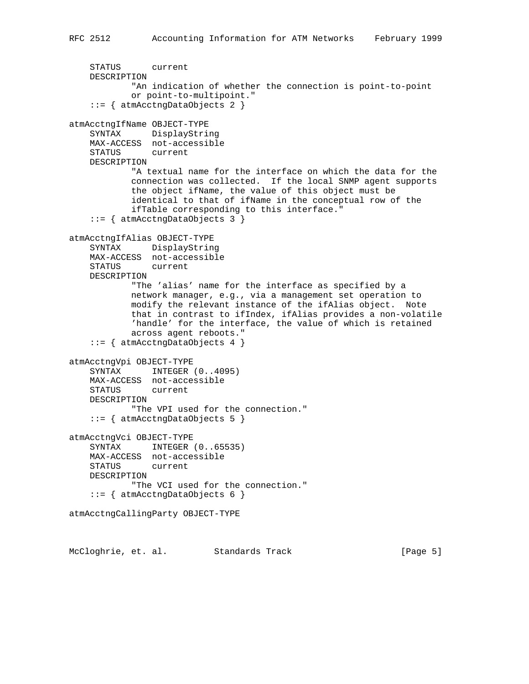```
 STATUS current
    DESCRIPTION
            "An indication of whether the connection is point-to-point
            or point-to-multipoint."
     ::= { atmAcctngDataObjects 2 }
atmAcctngIfName OBJECT-TYPE
    SYNTAX DisplayString
    MAX-ACCESS not-accessible
    STATUS current
    DESCRIPTION
            "A textual name for the interface on which the data for the
            connection was collected. If the local SNMP agent supports
            the object ifName, the value of this object must be
             identical to that of ifName in the conceptual row of the
             ifTable corresponding to this interface."
     ::= { atmAcctngDataObjects 3 }
atmAcctngIfAlias OBJECT-TYPE
    SYNTAX DisplayString
    MAX-ACCESS not-accessible
    STATUS current
    DESCRIPTION
            "The 'alias' name for the interface as specified by a
            network manager, e.g., via a management set operation to
            modify the relevant instance of the ifAlias object. Note
            that in contrast to ifIndex, ifAlias provides a non-volatile
            'handle' for the interface, the value of which is retained
            across agent reboots."
     ::= { atmAcctngDataObjects 4 }
atmAcctngVpi OBJECT-TYPE
    SYNTAX INTEGER (0..4095)
    MAX-ACCESS not-accessible
    STATUS current
    DESCRIPTION
            "The VPI used for the connection."
     ::= { atmAcctngDataObjects 5 }
atmAcctngVci OBJECT-TYPE
   SYNTAX INTEGER (0..65535)
    MAX-ACCESS not-accessible
    STATUS current
    DESCRIPTION
            "The VCI used for the connection."
     ::= { atmAcctngDataObjects 6 }
atmAcctngCallingParty OBJECT-TYPE
```
McCloghrie, et. al. Standards Track [Page 5]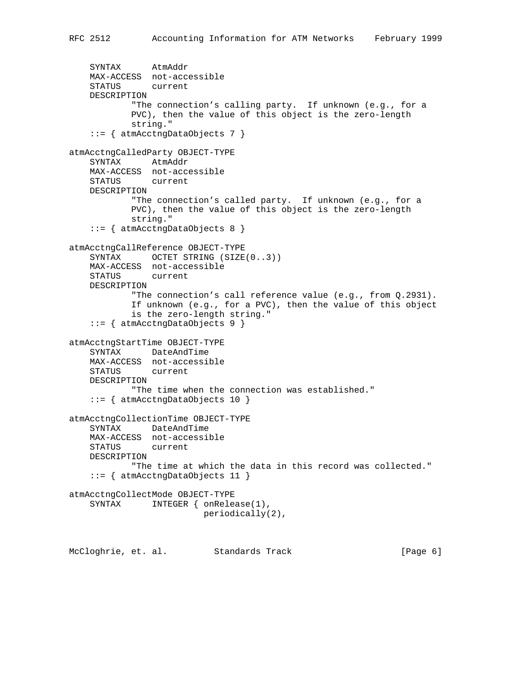```
 SYNTAX AtmAddr
    MAX-ACCESS not-accessible
    STATUS current
    DESCRIPTION
            "The connection's calling party. If unknown (e.g., for a
            PVC), then the value of this object is the zero-length
            string."
     ::= { atmAcctngDataObjects 7 }
atmAcctngCalledParty OBJECT-TYPE
    SYNTAX AtmAddr
    MAX-ACCESS not-accessible
    STATUS current
    DESCRIPTION
            "The connection's called party. If unknown (e.g., for a
            PVC), then the value of this object is the zero-length
            string."
     ::= { atmAcctngDataObjects 8 }
atmAcctngCallReference OBJECT-TYPE
   SYNTAX OCTET STRING (SIZE(0..3))
    MAX-ACCESS not-accessible
    STATUS current
    DESCRIPTION
             "The connection's call reference value (e.g., from Q.2931).
            If unknown (e.g., for a PVC), then the value of this object
            is the zero-length string."
     ::= { atmAcctngDataObjects 9 }
atmAcctngStartTime OBJECT-TYPE
    SYNTAX DateAndTime
    MAX-ACCESS not-accessible
    STATUS current
    DESCRIPTION
            "The time when the connection was established."
     ::= { atmAcctngDataObjects 10 }
atmAcctngCollectionTime OBJECT-TYPE
    SYNTAX DateAndTime
    MAX-ACCESS not-accessible
    STATUS current
    DESCRIPTION
            "The time at which the data in this record was collected."
     ::= { atmAcctngDataObjects 11 }
atmAcctngCollectMode OBJECT-TYPE
   SYNTAX INTEGER { onRelease(1),
                          periodically(2),
```
McCloghrie, et. al. Standards Track [Page 6]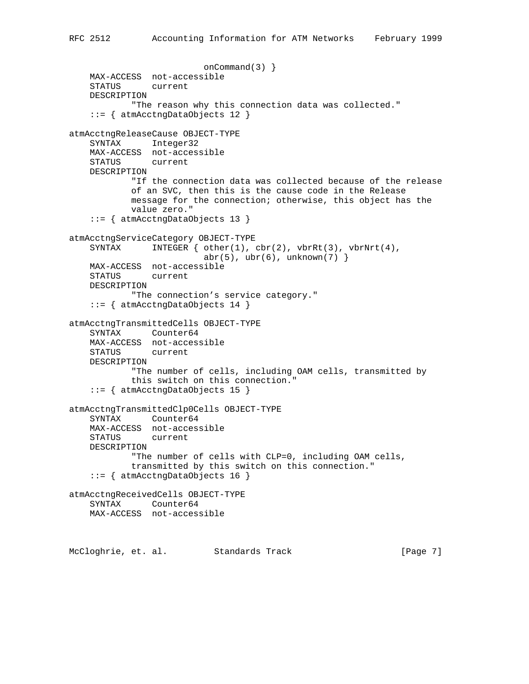```
 onCommand(3) }
    MAX-ACCESS not-accessible
     STATUS current
    DESCRIPTION
            "The reason why this connection data was collected."
     ::= { atmAcctngDataObjects 12 }
atmAcctngReleaseCause OBJECT-TYPE
    SYNTAX Integer32
    MAX-ACCESS not-accessible
    STATUS current
    DESCRIPTION
            "If the connection data was collected because of the release
            of an SVC, then this is the cause code in the Release
            message for the connection; otherwise, this object has the
            value zero."
     ::= { atmAcctngDataObjects 13 }
atmAcctngServiceCategory OBJECT-TYPE
    SYNTAX INTEGER \{ other(1), cbr(2), vbrRt(3), vbrNrt(4),\}abr(5), ubr(6), unknown(7) }
    MAX-ACCESS not-accessible
    STATUS current
    DESCRIPTION
             "The connection's service category."
     ::= { atmAcctngDataObjects 14 }
atmAcctngTransmittedCells OBJECT-TYPE
    SYNTAX Counter64
    MAX-ACCESS not-accessible
    STATUS current
    DESCRIPTION
             "The number of cells, including OAM cells, transmitted by
            this switch on this connection."
     ::= { atmAcctngDataObjects 15 }
atmAcctngTransmittedClp0Cells OBJECT-TYPE
     SYNTAX Counter64
    MAX-ACCESS not-accessible
     STATUS current
    DESCRIPTION
             "The number of cells with CLP=0, including OAM cells,
             transmitted by this switch on this connection."
     ::= { atmAcctngDataObjects 16 }
atmAcctngReceivedCells OBJECT-TYPE
    SYNTAX Counter64
    MAX-ACCESS not-accessible
```
McCloghrie, et. al. Standards Track [Page 7]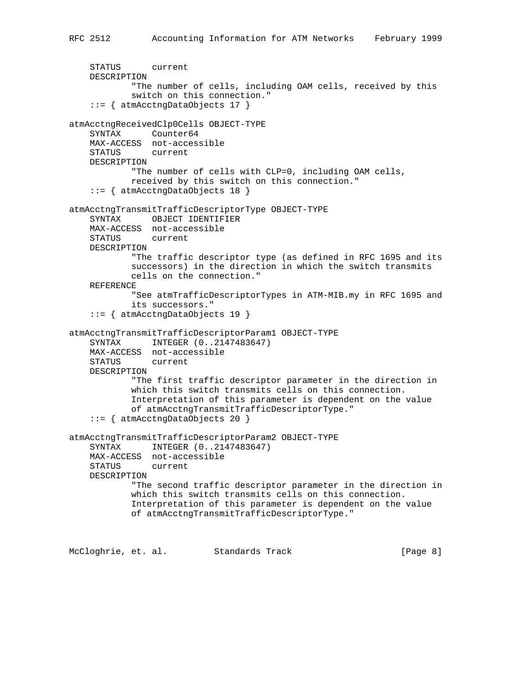```
 STATUS current
     DESCRIPTION
             "The number of cells, including OAM cells, received by this
             switch on this connection."
     ::= { atmAcctngDataObjects 17 }
atmAcctngReceivedClp0Cells OBJECT-TYPE
     SYNTAX Counter64
    MAX-ACCESS not-accessible
    STATUS current
    DESCRIPTION
            "The number of cells with CLP=0, including OAM cells,
            received by this switch on this connection."
     ::= { atmAcctngDataObjects 18 }
atmAcctngTransmitTrafficDescriptorType OBJECT-TYPE
     SYNTAX OBJECT IDENTIFIER
    MAX-ACCESS not-accessible
    STATUS current
    DESCRIPTION
             "The traffic descriptor type (as defined in RFC 1695 and its
            successors) in the direction in which the switch transmits
            cells on the connection."
     REFERENCE
             "See atmTrafficDescriptorTypes in ATM-MIB.my in RFC 1695 and
             its successors."
     ::= { atmAcctngDataObjects 19 }
atmAcctngTransmitTrafficDescriptorParam1 OBJECT-TYPE
     SYNTAX INTEGER (0..2147483647)
    MAX-ACCESS not-accessible
    STATUS current
    DESCRIPTION
             "The first traffic descriptor parameter in the direction in
            which this switch transmits cells on this connection.
            Interpretation of this parameter is dependent on the value
            of atmAcctngTransmitTrafficDescriptorType."
     ::= { atmAcctngDataObjects 20 }
atmAcctngTransmitTrafficDescriptorParam2 OBJECT-TYPE
     SYNTAX INTEGER (0..2147483647)
    MAX-ACCESS not-accessible
    STATUS current
    DESCRIPTION
            "The second traffic descriptor parameter in the direction in
            which this switch transmits cells on this connection.
            Interpretation of this parameter is dependent on the value
            of atmAcctngTransmitTrafficDescriptorType."
```
McCloghrie, et. al. Standards Track [Page 8]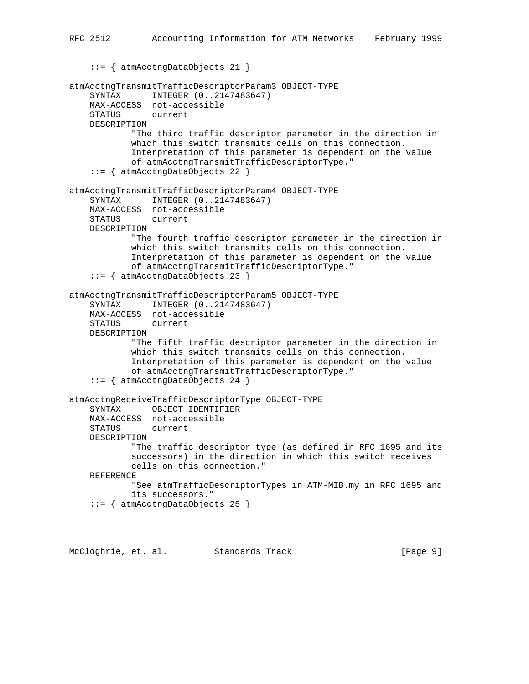```
 ::= { atmAcctngDataObjects 21 }
atmAcctngTransmitTrafficDescriptorParam3 OBJECT-TYPE
     SYNTAX INTEGER (0..2147483647)
    MAX-ACCESS not-accessible
     STATUS current
    DESCRIPTION
             "The third traffic descriptor parameter in the direction in
             which this switch transmits cells on this connection.
             Interpretation of this parameter is dependent on the value
             of atmAcctngTransmitTrafficDescriptorType."
     ::= { atmAcctngDataObjects 22 }
atmAcctngTransmitTrafficDescriptorParam4 OBJECT-TYPE
     SYNTAX INTEGER (0..2147483647)
    MAX-ACCESS not-accessible
    STATUS current
    DESCRIPTION
             "The fourth traffic descriptor parameter in the direction in
             which this switch transmits cells on this connection.
             Interpretation of this parameter is dependent on the value
             of atmAcctngTransmitTrafficDescriptorType."
     ::= { atmAcctngDataObjects 23 }
atmAcctngTransmitTrafficDescriptorParam5 OBJECT-TYPE
     SYNTAX INTEGER (0..2147483647)
    MAX-ACCESS not-accessible
     STATUS current
    DESCRIPTION
             "The fifth traffic descriptor parameter in the direction in
             which this switch transmits cells on this connection.
             Interpretation of this parameter is dependent on the value
             of atmAcctngTransmitTrafficDescriptorType."
     ::= { atmAcctngDataObjects 24 }
atmAcctngReceiveTrafficDescriptorType OBJECT-TYPE
     SYNTAX OBJECT IDENTIFIER
    MAX-ACCESS not-accessible
     STATUS current
    DESCRIPTION
             "The traffic descriptor type (as defined in RFC 1695 and its
             successors) in the direction in which this switch receives
             cells on this connection."
     REFERENCE
             "See atmTrafficDescriptorTypes in ATM-MIB.my in RFC 1695 and
             its successors."
```
RFC 2512 Accounting Information for ATM Networks February 1999

```
 ::= { atmAcctngDataObjects 25 }
```
McCloghrie, et. al. Standards Track [Page 9]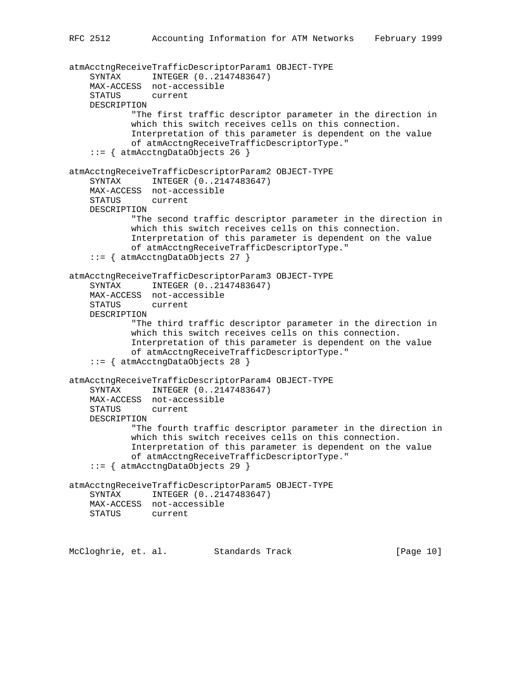```
atmAcctngReceiveTrafficDescriptorParam1 OBJECT-TYPE
     SYNTAX INTEGER (0..2147483647)
    MAX-ACCESS not-accessible
     STATUS current
    DESCRIPTION
             "The first traffic descriptor parameter in the direction in
            which this switch receives cells on this connection.
            Interpretation of this parameter is dependent on the value
            of atmAcctngReceiveTrafficDescriptorType."
     ::= { atmAcctngDataObjects 26 }
atmAcctngReceiveTrafficDescriptorParam2 OBJECT-TYPE
     SYNTAX INTEGER (0..2147483647)
    MAX-ACCESS not-accessible
    STATUS current
    DESCRIPTION
             "The second traffic descriptor parameter in the direction in
            which this switch receives cells on this connection.
            Interpretation of this parameter is dependent on the value
            of atmAcctngReceiveTrafficDescriptorType."
     ::= { atmAcctngDataObjects 27 }
atmAcctngReceiveTrafficDescriptorParam3 OBJECT-TYPE
     SYNTAX INTEGER (0..2147483647)
    MAX-ACCESS not-accessible
    STATUS current
    DESCRIPTION
             "The third traffic descriptor parameter in the direction in
            which this switch receives cells on this connection.
            Interpretation of this parameter is dependent on the value
            of atmAcctngReceiveTrafficDescriptorType."
     ::= { atmAcctngDataObjects 28 }
atmAcctngReceiveTrafficDescriptorParam4 OBJECT-TYPE
     SYNTAX INTEGER (0..2147483647)
    MAX-ACCESS not-accessible
    STATUS current
    DESCRIPTION
            "The fourth traffic descriptor parameter in the direction in
            which this switch receives cells on this connection.
            Interpretation of this parameter is dependent on the value
            of atmAcctngReceiveTrafficDescriptorType."
     ::= { atmAcctngDataObjects 29 }
atmAcctngReceiveTrafficDescriptorParam5 OBJECT-TYPE
     SYNTAX INTEGER (0..2147483647)
    MAX-ACCESS not-accessible
    STATUS current
```
McCloghrie, et. al. Standards Track [Page 10]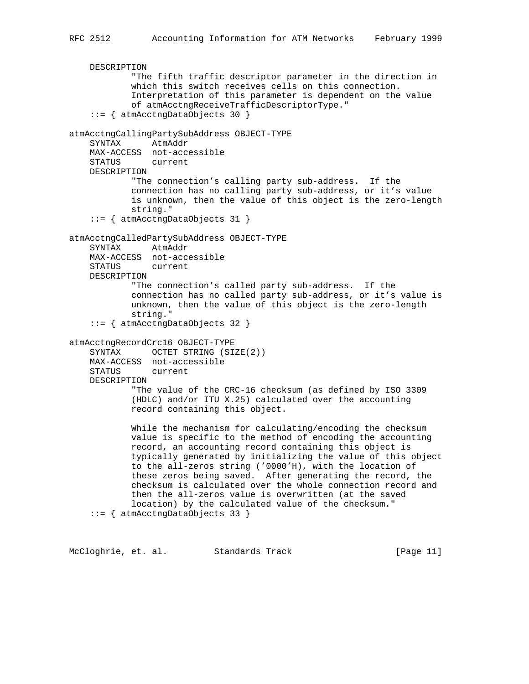```
 DESCRIPTION
             "The fifth traffic descriptor parameter in the direction in
             which this switch receives cells on this connection.
             Interpretation of this parameter is dependent on the value
             of atmAcctngReceiveTrafficDescriptorType."
     ::= { atmAcctngDataObjects 30 }
atmAcctngCallingPartySubAddress OBJECT-TYPE
     SYNTAX AtmAddr
    MAX-ACCESS not-accessible
    STATUS current
    DESCRIPTION
            "The connection's calling party sub-address. If the
             connection has no calling party sub-address, or it's value
             is unknown, then the value of this object is the zero-length
             string."
     ::= { atmAcctngDataObjects 31 }
atmAcctngCalledPartySubAddress OBJECT-TYPE
     SYNTAX AtmAddr
    MAX-ACCESS not-accessible
    STATUS current
    DESCRIPTION
             "The connection's called party sub-address. If the
             connection has no called party sub-address, or it's value is
             unknown, then the value of this object is the zero-length
             string."
     ::= { atmAcctngDataObjects 32 }
atmAcctngRecordCrc16 OBJECT-TYPE
    SYNTAX OCTET STRING (SIZE(2))
    MAX-ACCESS not-accessible
    STATUS current
    DESCRIPTION
             "The value of the CRC-16 checksum (as defined by ISO 3309
             (HDLC) and/or ITU X.25) calculated over the accounting
             record containing this object.
             While the mechanism for calculating/encoding the checksum
             value is specific to the method of encoding the accounting
             record, an accounting record containing this object is
             typically generated by initializing the value of this object
             to the all-zeros string ('0000'H), with the location of
             these zeros being saved. After generating the record, the
             checksum is calculated over the whole connection record and
             then the all-zeros value is overwritten (at the saved
             location) by the calculated value of the checksum."
     ::= { atmAcctngDataObjects 33 }
```
McCloghrie, et. al. Standards Track [Page 11]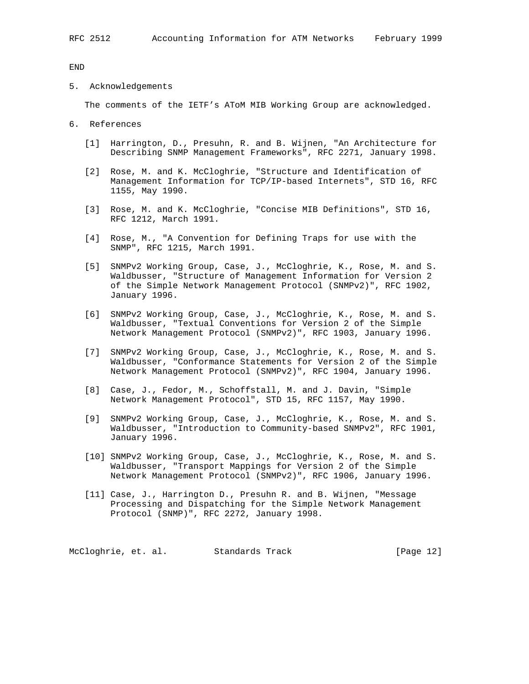END

5. Acknowledgements

The comments of the IETF's AToM MIB Working Group are acknowledged.

- 6. References
	- [1] Harrington, D., Presuhn, R. and B. Wijnen, "An Architecture for Describing SNMP Management Frameworks", RFC 2271, January 1998.
	- [2] Rose, M. and K. McCloghrie, "Structure and Identification of Management Information for TCP/IP-based Internets", STD 16, RFC 1155, May 1990.
	- [3] Rose, M. and K. McCloghrie, "Concise MIB Definitions", STD 16, RFC 1212, March 1991.
	- [4] Rose, M., "A Convention for Defining Traps for use with the SNMP", RFC 1215, March 1991.
	- [5] SNMPv2 Working Group, Case, J., McCloghrie, K., Rose, M. and S. Waldbusser, "Structure of Management Information for Version 2 of the Simple Network Management Protocol (SNMPv2)", RFC 1902, January 1996.
	- [6] SNMPv2 Working Group, Case, J., McCloghrie, K., Rose, M. and S. Waldbusser, "Textual Conventions for Version 2 of the Simple Network Management Protocol (SNMPv2)", RFC 1903, January 1996.
	- [7] SNMPv2 Working Group, Case, J., McCloghrie, K., Rose, M. and S. Waldbusser, "Conformance Statements for Version 2 of the Simple Network Management Protocol (SNMPv2)", RFC 1904, January 1996.
	- [8] Case, J., Fedor, M., Schoffstall, M. and J. Davin, "Simple Network Management Protocol", STD 15, RFC 1157, May 1990.
	- [9] SNMPv2 Working Group, Case, J., McCloghrie, K., Rose, M. and S. Waldbusser, "Introduction to Community-based SNMPv2", RFC 1901, January 1996.
	- [10] SNMPv2 Working Group, Case, J., McCloghrie, K., Rose, M. and S. Waldbusser, "Transport Mappings for Version 2 of the Simple Network Management Protocol (SNMPv2)", RFC 1906, January 1996.
	- [11] Case, J., Harrington D., Presuhn R. and B. Wijnen, "Message Processing and Dispatching for the Simple Network Management Protocol (SNMP)", RFC 2272, January 1998.

McCloghrie, et. al. Standards Track [Page 12]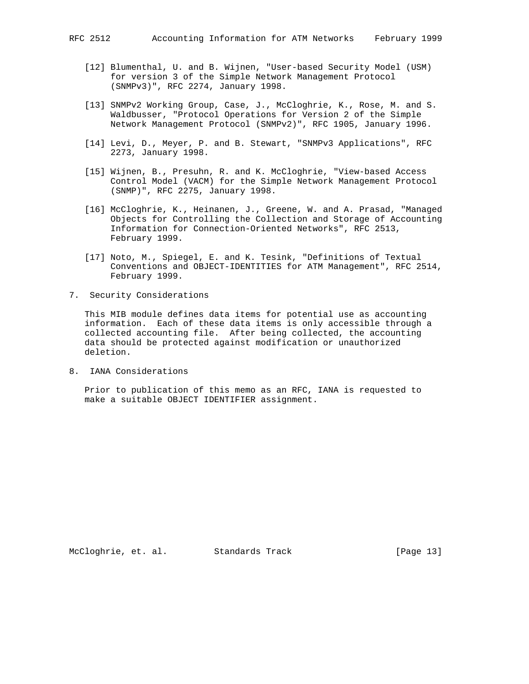- [12] Blumenthal, U. and B. Wijnen, "User-based Security Model (USM) for version 3 of the Simple Network Management Protocol (SNMPv3)", RFC 2274, January 1998.
- [13] SNMPv2 Working Group, Case, J., McCloghrie, K., Rose, M. and S. Waldbusser, "Protocol Operations for Version 2 of the Simple Network Management Protocol (SNMPv2)", RFC 1905, January 1996.
- [14] Levi, D., Meyer, P. and B. Stewart, "SNMPv3 Applications", RFC 2273, January 1998.
- [15] Wijnen, B., Presuhn, R. and K. McCloghrie, "View-based Access Control Model (VACM) for the Simple Network Management Protocol (SNMP)", RFC 2275, January 1998.
- [16] McCloghrie, K., Heinanen, J., Greene, W. and A. Prasad, "Managed Objects for Controlling the Collection and Storage of Accounting Information for Connection-Oriented Networks", RFC 2513, February 1999.
- [17] Noto, M., Spiegel, E. and K. Tesink, "Definitions of Textual Conventions and OBJECT-IDENTITIES for ATM Management", RFC 2514, February 1999.
- 7. Security Considerations

 This MIB module defines data items for potential use as accounting information. Each of these data items is only accessible through a collected accounting file. After being collected, the accounting data should be protected against modification or unauthorized deletion.

8. IANA Considerations

 Prior to publication of this memo as an RFC, IANA is requested to make a suitable OBJECT IDENTIFIER assignment.

McCloghrie, et. al. Standards Track [Page 13]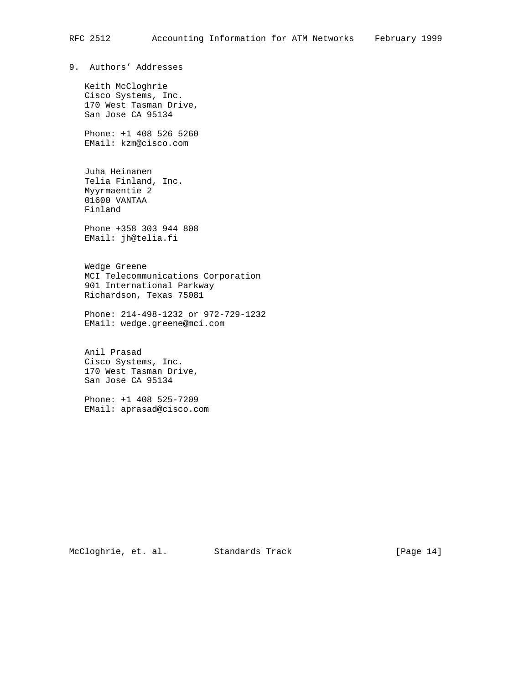9. Authors' Addresses

 Keith McCloghrie Cisco Systems, Inc. 170 West Tasman Drive, San Jose CA 95134

 Phone: +1 408 526 5260 EMail: kzm@cisco.com

 Juha Heinanen Telia Finland, Inc. Myyrmaentie 2 01600 VANTAA Finland

 Phone +358 303 944 808 EMail: jh@telia.fi

 Wedge Greene MCI Telecommunications Corporation 901 International Parkway Richardson, Texas 75081

 Phone: 214-498-1232 or 972-729-1232 EMail: wedge.greene@mci.com

 Anil Prasad Cisco Systems, Inc. 170 West Tasman Drive, San Jose CA 95134

 Phone: +1 408 525-7209 EMail: aprasad@cisco.com

McCloghrie, et. al. Standards Track [Page 14]